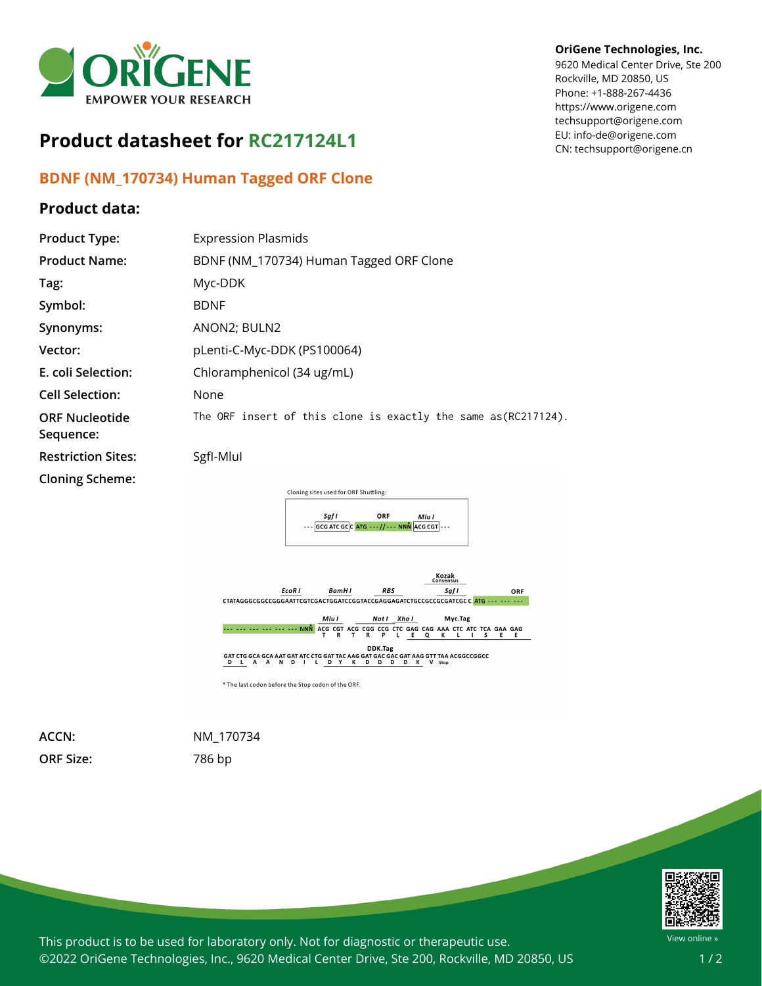

## **Product datasheet for RC217124L1**

## **BDNF (NM\_170734) Human Tagged ORF Clone**

## **Product data:**

## **OriGene Technologies, Inc.**

9620 Medical Center Drive, Ste 200 Rockville, MD 20850, US Phone: +1-888-267-4436 https://www.origene.com techsupport@origene.com EU: info-de@origene.com CN: techsupport@origene.cn

| <b>Product Type:</b>               | <b>Expression Plasmids</b>                                           |
|------------------------------------|----------------------------------------------------------------------|
| <b>Product Name:</b>               | BDNF (NM_170734) Human Tagged ORF Clone                              |
| Tag:                               | Myc-DDK                                                              |
| Symbol:                            | <b>BDNF</b>                                                          |
| Synonyms:                          | ANON2; BULN2                                                         |
| Vector:                            | pLenti-C-Myc-DDK (PS100064)                                          |
| E. coli Selection:                 | Chloramphenicol (34 ug/mL)                                           |
| <b>Cell Selection:</b>             | None                                                                 |
| <b>ORF Nucleotide</b><br>Sequence: | The ORF insert of this clone is exactly the same as(RC217124).       |
| <b>Restriction Sites:</b>          | Sgfl-Mlul                                                            |
| <b>Cloning Scheme:</b>             |                                                                      |
|                                    | Cloning sites used for ORF Shuttling:                                |
|                                    | ORF<br>Saf I<br>Mlu I<br>$ GCG ATCGC CATG---//---NNN$ ACG CGT $ ---$ |
|                                    |                                                                      |



**ORF Size:** 786 bp

**ACCN:** NM\_170734



This product is to be used for laboratory only. Not for diagnostic or therapeutic use. ©2022 OriGene Technologies, Inc., 9620 Medical Center Drive, Ste 200, Rockville, MD 20850, US